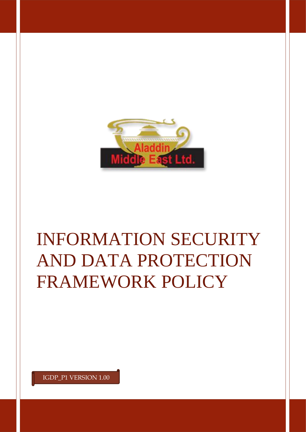

# INFORMATION SECURITY AND DATA PROTECTION FRAMEWORK POLICY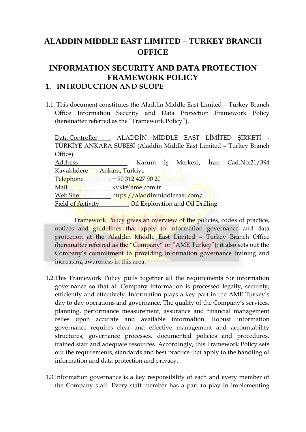# **ALADDIN MIDDLE EAST LIMITED – TURKEY BRANCH OFFICE**

### **INFORMATION SECURITY AND DATA PROTECTION FRAMEWORK POLICY 1. INTRODUCTION AND SCOPE**

1.1. This document constitutes the Aladdin Middle East Limited – Turkey Branch Office Information Security and Data Protection Framework Policy (hereinafter referred as the "Framework Policy").

Data Controller : ALADDİN MİDDLE EAST LİMİTED ŞİRKETİ - TÜRKİYE ANKARA ŞUBESİ (Aladdin Middle East Limited – Turkey Branch Office) Address : Karum İş Merkezi, İran Cad.No:21/394 Kavaklıdere - Ankara, Türkiye Telephone : + 90 312 427 90 20 Mail : kvkk@ame.com.tr Web Site : https://aladdinmiddleeast.com/ Field of Activity : Oil Exploration and Oil Drilling

Framework Policy gives an overview of the policies, codes of practice, notices and guidelines that apply to information governance and data protection at the Aladdin Middle East Limited – Turkey Branch Office (hereinafter referred as the "Company" or "AME Turkey"); it also sets out the Company's commitment to providing information governance training and increasing awareness in this area.

- 1.2.This Framework Policy pulls together all the requirements for information governance so that all Company information is processed legally, securely, efficiently and effectively. Information plays a key part in the AME Turkey's day to day operations and governance. The quality of the Company's services, planning, performance measurement, assurance and financial management relies upon accurate and available information. Robust information governance requires clear and effective management and accountability structures, governance processes, documented policies and procedures, trained staff and adequate resources. Accordingly, this Framework Policy sets out the requirements, standards and best practice that apply to the handling of information and data protection and privacy.
- 1.3.Information governance is a key responsibility of each and every member of the Company staff. Every staff member has a part to play in implementing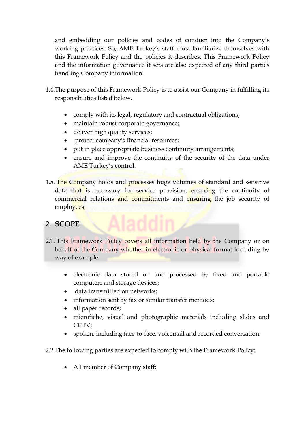and embedding our policies and codes of conduct into the Company's working practices. So, AME Turkey's staff must familiarize themselves with this Framework Policy and the policies it describes. This Framework Policy and the information governance it sets are also expected of any third parties handling Company information.

- 1.4.The purpose of this Framework Policy is to assist our Company in fulfilling its responsibilities listed below.
	- comply with its legal, regulatory and contractual obligations;
	- maintain robust corporate governance;
	- deliver high quality services;
	- protect company's financial resources;
	- put in place appropriate business continuity arrangements;
	- ensure and improve the continuity of the security of the data under AME Turkey's control.
- 1.5. The Company holds and processes huge volumes of standard and sensitive data that is necessary for service provision, ensuring the continuity of commercial relations and commitments and ensuring the job security of employees.

# **2. SCOPE**

- 2.1. This Framework Policy covers all information held by the Company or on behalf of the Company whether in electronic or physical format including by way of example:
	- electronic data stored on and processed by fixed and portable computers and storage devices;
	- data transmitted on networks;
	- information sent by fax or similar transfer methods;
	- all paper records;
	- microfiche, visual and photographic materials including slides and CCTV;
	- spoken, including face-to-face, voicemail and recorded conversation.

2.2.The following parties are expected to comply with the Framework Policy:

• All member of Company staff;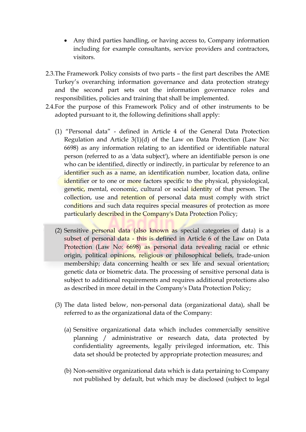- Any third parties handling, or having access to, Company information including for example consultants, service providers and contractors, visitors.
- 2.3.The Framework Policy consists of two parts the first part describes the AME Turkey's overarching information governance and data protection strategy and the second part sets out the information governance roles and responsibilities, policies and training that shall be implemented.
- 2.4.For the purpose of this Framework Policy and of other instruments to be adopted pursuant to it, the following definitions shall apply:
	- (1) "Personal data" defined in Article 4 of the General Data Protection Regulation and Article 3(1)(d) of the Law on Data Protection (Law No: 6698) as any information relating to an identified or identifiable natural person (referred to as a 'data subject'), where an identifiable person is one who can be identified, directly or indirectly, in particular by reference to an identifier such as a name, an identification number, location data, online identifier or to one or more factors specific to the physical, physiological, genetic, mental, economic, cultural or social identity of that person. The collection, use and retention of personal data must comply with strict conditions and such data requires special measures of protection as more particularly described in the Company's Data Protection Policy;
	- (2) Sensitive personal data (also known as special categories of data) is a subset of personal data - this is defined in Article 6 of the Law on Data Protection (Law No: 6698) as personal data revealing racial or ethnic origin, political opinions, religious or philosophical beliefs, trade-union membership; data concerning health or sex life and sexual orientation; genetic data or biometric data. The processing of sensitive personal data is subject to additional requirements and requires additional protections also as described in more detail in the Company's Data Protection Policy;
	- (3) The data listed below, non-personal data (organizational data), shall be referred to as the organizational data of the Company:
		- (a) Sensitive organizational data which includes commercially sensitive planning / administrative or research data, data protected by confidentiality agreements, legally privileged information, etc. This data set should be protected by appropriate protection measures; and
		- (b) Non-sensitive organizational data which is data pertaining to Company not published by default, but which may be disclosed (subject to legal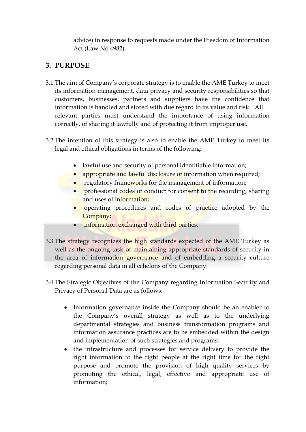advice) in response to requests made under the Freedom of Information Act (Law No 4982).

## **3. PURPOSE**

- 3.1.The aim of Company's corporate strategy is to enable the AME Turkey to meet its information management, data privacy and security responsibilities so that customers, businesses, partners and suppliers have the confidence that information is handled and stored with due regard to its value and risk. All relevant parties must understand the importance of using information correctly, of sharing it lawfully and of protecting it from improper use.
- 3.2.The intention of this strategy is also to enable the AME Turkey to meet its legal and ethical obligations in terms of the following:
	- lawful use and security of personal identifiable information;
	- appropriate and lawful disclosure of information when required;
	- regulatory frameworks for the management of information;
	- professional codes of conduct for consent to the recording, sharing and uses of information;
	- operating procedures and codes of practice adopted by the Company;
	- information exchanged with third parties.
- 3.3.The strategy recognizes the high standards expected of the AME Turkey as well as the ongoing task of maintaining appropriate standards of security in the area of information governance and of embedding a security culture regarding personal data in all echelons of the Company.
- 3.4.The Strategic Objectives of the Company regarding Information Security and Privacy of Personal Data are as follows:
	- Information governance inside the Company should be an enabler to the Company's overall strategy as well as to the underlying departmental strategies and business transformation programs and information assurance practices are to be embedded within the design and implementation of such strategies and programs;
	- the infrastructure and processes for service delivery to provide the right information to the right people at the right time for the right purpose and promote the provision of high quality services by promoting the ethical, legal, effective and appropriate use of information;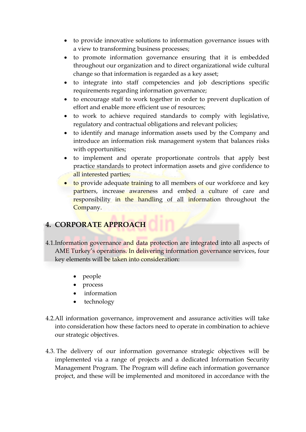- to provide innovative solutions to information governance issues with a view to transforming business processes;
- to promote information governance ensuring that it is embedded throughout our organization and to direct organizational wide cultural change so that information is regarded as a key asset;
- to integrate into staff competencies and job descriptions specific requirements regarding information governance;
- to encourage staff to work together in order to prevent duplication of effort and enable more efficient use of resources;
- to work to achieve required standards to comply with legislative, regulatory and contractual obligations and relevant policies;
- to identify and manage information assets used by the Company and introduce an information risk management system that balances risks with opportunities;
- to implement and operate proportionate controls that apply best practice standards to protect information assets and give confidence to all interested parties;
- to provide adequate training to all members of our workforce and key partners, increase awareness and embed a culture of care and responsibility in the handling of all information throughout the Company.

## **4. CORPORATE APPROACH**

- 4.1.Information governance and data protection are integrated into all aspects of AME Turkey's operations. In delivering information governance services, four key elements will be taken into consideration:
	- people
	- process
	- information
	- technology
- 4.2.All information governance, improvement and assurance activities will take into consideration how these factors need to operate in combination to achieve our strategic objectives.
- 4.3. The delivery of our information governance strategic objectives will be implemented via a range of projects and a dedicated Information Security Management Program. The Program will define each information governance project, and these will be implemented and monitored in accordance with the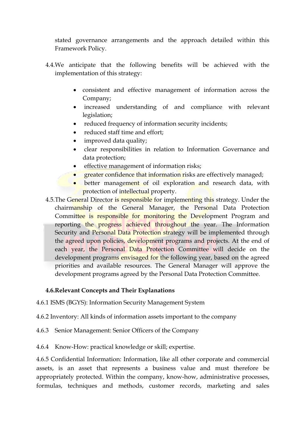stated governance arrangements and the approach detailed within this Framework Policy.

- 4.4.We anticipate that the following benefits will be achieved with the implementation of this strategy:
	- consistent and effective management of information across the Company;
	- increased understanding of and compliance with relevant legislation;
	- reduced frequency of information security incidents;
	- reduced staff time and effort;
	- improved data quality;
	- clear responsibilities in relation to Information Governance and data protection;
	- effective management of information risks;
	- greater confidence that information risks are effectively managed;
	- better management of oil exploration and research data, with protection of intellectual property.
- 4.5. The General Director is responsible for implementing this strategy. Under the chairmanship of the General Manager, the Personal Data Protection Committee is responsible for monitoring the Development Program and reporting the progress achieved throughout the year. The Information Security and Personal Data Protection strategy will be implemented through the agreed upon policies, development programs and projects. At the end of each year, the Personal Data Protection Committee will decide on the development programs envisaged for the following year, based on the agreed priorities and available resources. The General Manager will approve the development programs agreed by the Personal Data Protection Committee.

#### **4.6.Relevant Concepts and Their Explanations**

4.6.1 ISMS (BGYS): Information Security Management System

4.6.2 Inventory: All kinds of information assets important to the company

- 4.6.3 Senior Management: Senior Officers of the Company
- 4.6.4 Know-How: practical knowledge or skill; expertise.

4.6.5 Confidential Information: Information, like all other corporate and commercial assets, is an asset that represents a business value and must therefore be appropriately protected. Within the company, know-how, administrative processes, formulas, techniques and methods, customer records, marketing and sales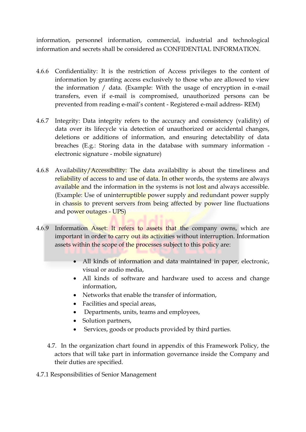information, personnel information, commercial, industrial and technological information and secrets shall be considered as CONFIDENTIAL INFORMATION.

- 4.6.6 Confidentiality: It is the restriction of Access privileges to the content of information by granting access exclusively to those who are allowed to view the information / data. (Example: With the usage of encryption in e-mail transfers, even if e-mail is compromised, unauthorized persons can be prevented from reading e-mail's content - Registered e-mail address- REM)
- 4.6.7 Integrity: Data integrity refers to the accuracy and consistency (validity) of data over its lifecycle via detection of unauthorized or accidental changes, deletions or additions of information, and ensuring detectability of data breaches (E.g.: Storing data in the database with summary information electronic signature - mobile signature)
- 4.6.8 Availability/Accessibility: The data availability is about the timeliness and reliability of access to and use of data. In other words, the systems are always available and the information in the systems is not lost and always accessible. (Example: Use of uninterruptible power supply and redundant power supply in chassis to prevent servers from being affected by power line fluctuations and power outages - UPS)
- 4.6.9 Information Asset: It refers to assets that the company owns, which are important in order to carry out its activities without interruption. Information assets within the scope of the processes subject to this policy are:
	- All kinds of information and data maintained in paper, electronic, visual or audio media,
	- All kinds of software and hardware used to access and change information,
	- Networks that enable the transfer of information,
	- Facilities and special areas,
	- Departments, units, teams and employees,
	- Solution partners,
	- Services, goods or products provided by third parties.
	- 4.7. In the organization chart found in appendix of this Framework Policy, the actors that will take part in information governance inside the Company and their duties are specified.

4.7.1 Responsibilities of Senior Management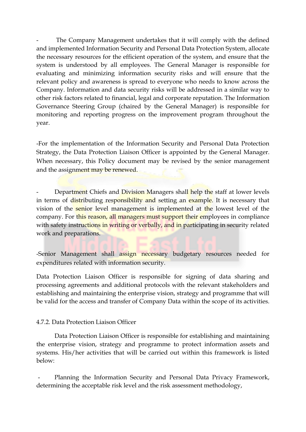The Company Management undertakes that it will comply with the defined and implemented Information Security and Personal Data Protection System, allocate the necessary resources for the efficient operation of the system, and ensure that the system is understood by all employees. The General Manager is responsible for evaluating and minimizing information security risks and will ensure that the relevant policy and awareness is spread to everyone who needs to know across the Company. Information and data security risks will be addressed in a similar way to other risk factors related to financial, legal and corporate reputation. The Information Governance Steering Group (chaired by the General Manager) is responsible for monitoring and reporting progress on the improvement program throughout the year.

-For the implementation of the Information Security and Personal Data Protection Strategy, the Data Protection Liaison Officer is appointed by the General Manager. When necessary, this Policy document may be revised by the senior management and the assignment may be renewed.

Department Chiefs and Division Managers shall help the staff at lower levels in terms of distributing responsibility and setting an example. It is necessary that vision of the senior level management is implemented at the lowest level of the company. For this reason, all managers must support their employees in compliance with safety instructions in writing or verbally, and in participating in security related work and preparations.

-Senior Management shall assign necessary budgetary resources needed for expenditures related with information security.

Data Protection Liaison Officer is responsible for signing of data sharing and processing agreements and additional protocols with the relevant stakeholders and establishing and maintaining the enterprise vision, strategy and programme that will be valid for the access and transfer of Company Data within the scope of its activities.

#### 4.7.2. Data Protection Liaison Officer

Data Protection Liaison Officer is responsible for establishing and maintaining the enterprise vision, strategy and programme to protect information assets and systems. His/her activities that will be carried out within this framework is listed below:

Planning the Information Security and Personal Data Privacy Framework, determining the acceptable risk level and the risk assessment methodology,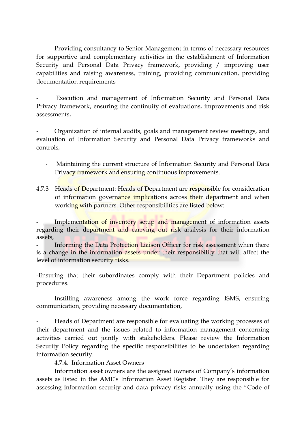- Providing consultancy to Senior Management in terms of necessary resources for supportive and complementary activities in the establishment of Information Security and Personal Data Privacy framework, providing / improving user capabilities and raising awareness, training, providing communication, providing documentation requirements

Execution and management of Information Security and Personal Data Privacy framework, ensuring the continuity of evaluations, improvements and risk assessments,

- Organization of internal audits, goals and management review meetings, and evaluation of Information Security and Personal Data Privacy frameworks and controls,

- Maintaining the current structure of Information Security and Personal Data Privacy framework and ensuring continuous improvements.
- 4.7.3 Heads of Department: Heads of Department are responsible for consideration of information governance implications across their department and when working with partners. Other responsibilities are listed below:

Implementation of inventory setup and management of information assets regarding their department and carrying out risk analysis for their information assets,

Informing the Data Protection Liaison Officer for risk assessment when there is a change in the information assets under their responsibility that will affect the level of information security risks.

-Ensuring that their subordinates comply with their Department policies and procedures.

Instilling awareness among the work force regarding ISMS, ensuring communication, providing necessary documentation,

Heads of Department are responsible for evaluating the working processes of their department and the issues related to information management concerning activities carried out jointly with stakeholders. Please review the Information Security Policy regarding the specific responsibilities to be undertaken regarding information security.

4.7.4. Information Asset Owners

Information asset owners are the assigned owners of Company's information assets as listed in the AME's Information Asset Register. They are responsible for assessing information security and data privacy risks annually using the "Code of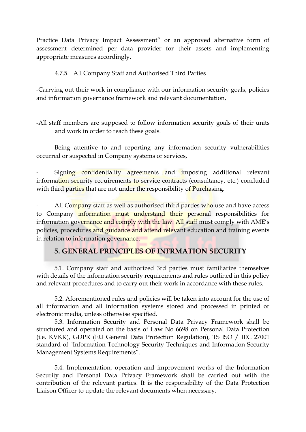Practice Data Privacy Impact Assessment" or an approved alternative form of assessment determined per data provider for their assets and implementing appropriate measures accordingly.

#### 4.7.5. All Company Staff and Authorised Third Parties

-Carrying out their work in compliance with our information security goals, policies and information governance framework and relevant documentation,

-All staff members are supposed to follow information security goals of their units and work in order to reach these goals.

Being attentive to and reporting any information security vulnerabilities occurred or suspected in Company systems or services,

Signing confidentiality agreements and imposing additional relevant information security requirements to service contracts (consultancy, etc.) concluded with third parties that are not under the responsibility of Purchasing.

All Company staff as well as authorised third parties who use and have access to Company information must understand their personal responsibilities for information governance and comply with the law. All staff must comply with AME's policies, procedures and guidance and attend relevant education and training events in relation to information governance.

## **5. GENERAL PRINCIPLES OF INFRMATION SECURITY**

5.1. Company staff and authorized 3rd parties must familiarize themselves with details of the information security requirements and rules outlined in this policy and relevant procedures and to carry out their work in accordance with these rules.

5.2. Aforementioned rules and policies will be taken into account for the use of all information and all information systems stored and processed in printed or electronic media, unless otherwise specified.

5.3. Information Security and Personal Data Privacy Framework shall be structured and operated on the basis of Law No 6698 on Personal Data Protection (i.e. KVKK), GDPR (EU General Data Protection Regulation), TS ISO / IEC 27001 standard of "Information Technology Security Techniques and Information Security Management Systems Requirements".

5.4. Implementation, operation and improvement works of the Information Security and Personal Data Privacy Framework shall be carried out with the contribution of the relevant parties. It is the responsibility of the Data Protection Liaison Officer to update the relevant documents when necessary.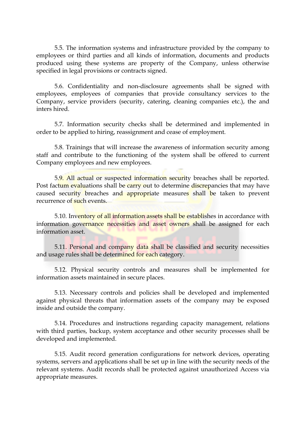5.5. The information systems and infrastructure provided by the company to employees or third parties and all kinds of information, documents and products produced using these systems are property of the Company, unless otherwise specified in legal provisions or contracts signed.

5.6. Confidentiality and non-disclosure agreements shall be signed with employees, employees of companies that provide consultancy services to the Company, service providers (security, catering, cleaning companies etc.), the and inters hired.

5.7. Information security checks shall be determined and implemented in order to be applied to hiring, reassignment and cease of employment.

5.8. Trainings that will increase the awareness of information security among staff and contribute to the functioning of the system shall be offered to current Company employees and new employees.

5.9. All actual or suspected information security breaches shall be reported. Post factum evaluations shall be carry out to determine discrepancies that may have caused security breaches and appropriate measures shall be taken to prevent recurrence of such events.

5.10. Inventory of all information assets shall be establishes in accordance with information governance necessities and asset owners shall be assigned for each information asset.

5.11. Personal and company data shall be classified and security necessities and usage rules shall be determined for each category.

5.12. Physical security controls and measures shall be implemented for information assets maintained in secure places.

5.13. Necessary controls and policies shall be developed and implemented against physical threats that information assets of the company may be exposed inside and outside the company.

5.14. Procedures and instructions regarding capacity management, relations with third parties, backup, system acceptance and other security processes shall be developed and implemented.

5.15. Audit record generation configurations for network devices, operating systems, servers and applications shall be set up in line with the security needs of the relevant systems. Audit records shall be protected against unauthorized Access via appropriate measures.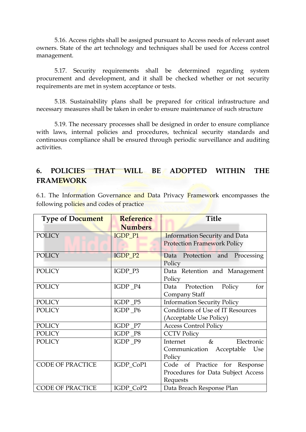5.16. Access rights shall be assigned pursuant to Access needs of relevant asset owners. State of the art technology and techniques shall be used for Access control management.

5.17. Security requirements shall be determined regarding system procurement and development, and it shall be checked whether or not security requirements are met in system acceptance or tests.

5.18. Sustainability plans shall be prepared for critical infrastructure and necessary measures shall be taken in order to ensure maintenance of such structure

5.19. The necessary processes shall be designed in order to ensure compliance with laws, internal policies and procedures, technical security standards and continuous compliance shall be ensured through periodic surveillance and auditing activities.

## **6. POLICIES THAT WILL BE ADOPTED WITHIN THE FRAMEWORK**

6.1. The Information Governance and Data Privacy Framework encompasses the following policies and codes of practice

| <b>Type of Document</b> | <b>Reference</b><br><b>Numbers</b> | <b>Title</b>                                                                    |
|-------------------------|------------------------------------|---------------------------------------------------------------------------------|
| <b>POLICY</b>           | IGDP_P1                            | <b>Information Security and Data</b><br><b>Protection Framework Policy</b>      |
| <b>POLICY</b>           | IGDP_P2                            | Data<br>Protection and Processing<br>Policy                                     |
| <b>POLICY</b>           | IGDP_P3                            | Data Retention and Management<br>Policy                                         |
| <b>POLICY</b>           | IGDP_P4                            | Policy<br>for<br>Data Protection<br>Company Staff                               |
| <b>POLICY</b>           | IGDP_P5                            | <b>Information Security Policy</b>                                              |
| <b>POLICY</b>           | IGDP_P6                            | Conditions of Use of IT Resources<br>(Acceptable Use Policy)                    |
| <b>POLICY</b>           | IGDP_P7                            | <b>Access Control Policy</b>                                                    |
| <b>POLICY</b>           | IGDP_P8                            | <b>CCTV Policy</b>                                                              |
| <b>POLICY</b>           | IGDP_P9                            | $\&$<br>Internet<br>Electronic<br>Communication Acceptable<br>Use<br>Policy     |
| <b>CODE OF PRACTICE</b> | IGDP_CoP1                          | Code of Practice for Response<br>Procedures for Data Subject Access<br>Requests |
| <b>CODE OF PRACTICE</b> | IGDP_CoP2                          | Data Breach Response Plan                                                       |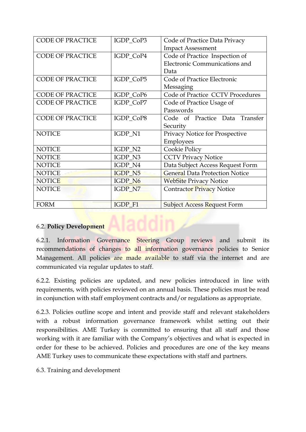| <b>CODE OF PRACTICE</b> | IGDP_CoP3      | Code of Practice Data Privacy         |
|-------------------------|----------------|---------------------------------------|
|                         |                | <b>Impact Assessment</b>              |
| <b>CODE OF PRACTICE</b> | IGDP_CoP4      | Code of Practice Inspection of        |
|                         |                | Electronic Communications and         |
|                         |                | Data                                  |
| <b>CODE OF PRACTICE</b> | IGDP_CoP5      | Code of Practice Electronic           |
|                         |                | Messaging                             |
| <b>CODE OF PRACTICE</b> | IGDP_CoP6      | Code of Practice CCTV Procedures      |
| <b>CODE OF PRACTICE</b> | IGDP_CoP7      | Code of Practice Usage of             |
|                         |                | Passwords                             |
| <b>CODE OF PRACTICE</b> | IGDP_CoP8      | Code of Practice Data Transfer        |
|                         |                | Security                              |
| <b>NOTICE</b>           | IGDP_N1        | Privacy Notice for Prospective        |
|                         |                | Employees                             |
| <b>NOTICE</b>           | IGDP_N2        | Cookie Policy                         |
| <b>NOTICE</b>           | IGDP N3        | <b>CCTV Privacy Notice</b>            |
| <b>NOTICE</b>           | IGDP_N4        | Data Subject Access Request Form      |
| <b>NOTICE</b>           | IGDP_N5        | <b>General Data Protection Notice</b> |
| <b>NOTICE</b>           | IGDP_N6        | <b>WebSite Privacy Notice</b>         |
| <b>NOTICE</b>           | IGDP_N7        | <b>Contractor Privacy Notice</b>      |
|                         |                |                                       |
| <b>FORM</b>             | <b>IGDP F1</b> | <b>Subject Access Request Form</b>    |

#### 6.2. **Policy Development**

6.2.1. Information Governance Steering Group reviews and submit its recommendations of changes to all information governance policies to Senior Management. All policies are made available to staff via the internet and are communicated via regular updates to staff.

6.2.2. Existing policies are updated, and new policies introduced in line with requirements, with policies reviewed on an annual basis. These policies must be read in conjunction with staff employment contracts and/or regulations as appropriate.

6.2.3. Policies outline scope and intent and provide staff and relevant stakeholders with a robust information governance framework whilst setting out their responsibilities. AME Turkey is committed to ensuring that all staff and those working with it are familiar with the Company's objectives and what is expected in order for these to be achieved. Policies and procedures are one of the key means AME Turkey uses to communicate these expectations with staff and partners.

6.3. Training and development